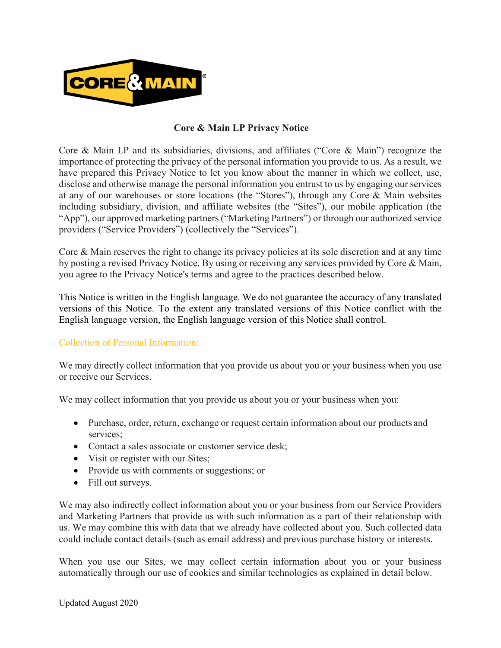

## **Core & Main LP Privacy Notice**

Core & Main LP and its subsidiaries, divisions, and affiliates ("Core & Main") recognize the importance of protecting the privacy of the personal information you provide to us. As a result, we have prepared this Privacy Notice to let you know about the manner in which we collect, use, disclose and otherwise manage the personal information you entrust to us by engaging our services at any of our warehouses or store locations (the "Stores"), through any Core & Main websites including subsidiary, division, and affiliate websites (the "Sites"), our mobile application (the "App"), our approved marketing partners ("Marketing Partners") or through our authorized service providers ("Service Providers") (collectively the "Services").

Core & Main reserves the right to change its privacy policies at its sole discretion and at any time by posting a revised Privacy Notice. By using or receiving any services provided by Core & Main, you agree to the Privacy Notice's terms and agree to the practices described below.

This Notice is written in the English language. We do not guarantee the accuracy of any translated versions of this Notice. To the extent any translated versions of this Notice conflict with the English language version, the English language version of this Notice shall control.

## Collection of Personal Information:

We may directly collect information that you provide us about you or your business when you use or receive our Services.

We may collect information that you provide us about you or your business when you:

- Purchase, order, return, exchange or request certain information about our products and services;
- Contact a sales associate or customer service desk;
- Visit or register with our Sites;
- Provide us with comments or suggestions; or
- Fill out surveys.

We may also indirectly collect information about you or your business from our Service Providers and Marketing Partners that provide us with such information as a part of their relationship with us. We may combine this with data that we already have collected about you. Such collected data could include contact details (such as email address) and previous purchase history or interests.

When you use our Sites, we may collect certain information about you or your business automatically through our use of cookies and similar technologies as explained in detail below.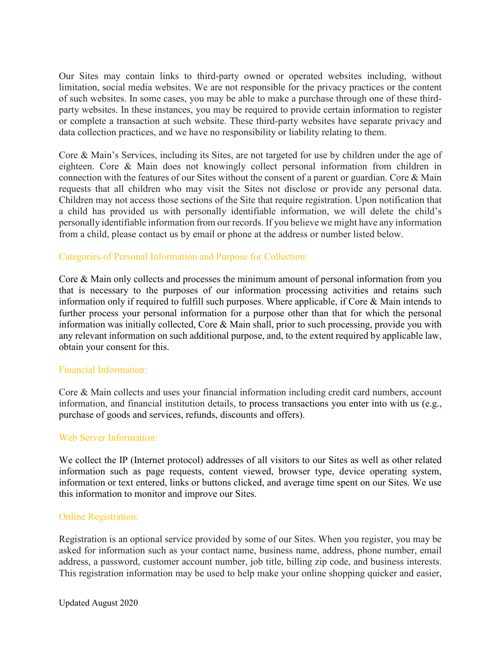Our Sites may contain links to third-party owned or operated websites including, without limitation, social media websites. We are not responsible for the privacy practices or the content of such websites. In some cases, you may be able to make a purchase through one of these thirdparty websites. In these instances, you may be required to provide certain information to register or complete a transaction at such website. These third-party websites have separate privacy and data collection practices, and we have no responsibility or liability relating to them.

Core & Main's Services, including its Sites, are not targeted for use by children under the age of eighteen. Core & Main does not knowingly collect personal information from children in connection with the features of our Sites without the consent of a parent or guardian. Core & Main requests that all children who may visit the Sites not disclose or provide any personal data. Children may not access those sections of the Site that require registration. Upon notification that a child has provided us with personally identifiable information, we will delete the child's personally identifiable information from our records. If you believe we might have any information from a child, please contact us by email or phone at the address or number listed below.

### Categories of Personal Information and Purpose for Collection:

Core & Main only collects and processes the minimum amount of personal information from you that is necessary to the purposes of our information processing activities and retains such information only if required to fulfill such purposes. Where applicable, if Core & Main intends to further process your personal information for a purpose other than that for which the personal information was initially collected, Core & Main shall, prior to such processing, provide you with any relevant information on such additional purpose, and, to the extent required by applicable law, obtain your consent for this.

### Financial Information:

Core & Main collects and uses your financial information including credit card numbers, account information, and financial institution details, to process transactions you enter into with us (e.g., purchase of goods and services, refunds, discounts and offers).

### Web Server Information:

We collect the IP (Internet protocol) addresses of all visitors to our Sites as well as other related information such as page requests, content viewed, browser type, device operating system, information or text entered, links or buttons clicked, and average time spent on our Sites. We use this information to monitor and improve our Sites.

### Online Registration:

Registration is an optional service provided by some of our Sites. When you register, you may be asked for information such as your contact name, business name, address, phone number, email address, a password, customer account number, job title, billing zip code, and business interests. This registration information may be used to help make your online shopping quicker and easier,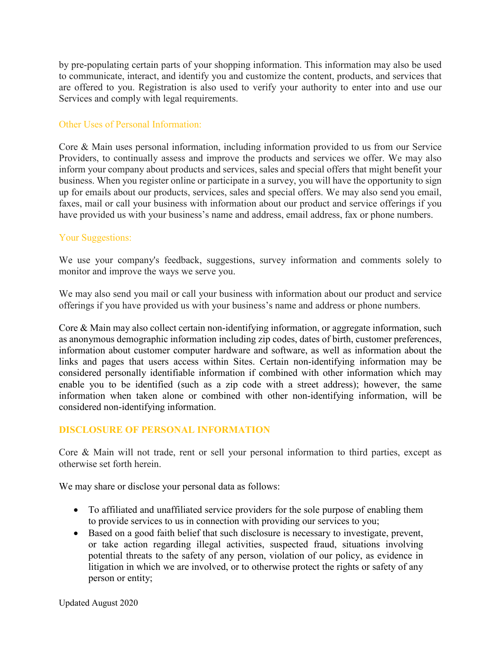by pre-populating certain parts of your shopping information. This information may also be used to communicate, interact, and identify you and customize the content, products, and services that are offered to you. Registration is also used to verify your authority to enter into and use our Services and comply with legal requirements.

### Other Uses of Personal Information:

Core & Main uses personal information, including information provided to us from our Service Providers, to continually assess and improve the products and services we offer. We may also inform your company about products and services, sales and special offers that might benefit your business. When you register online or participate in a survey, you will have the opportunity to sign up for emails about our products, services, sales and special offers. We may also send you email, faxes, mail or call your business with information about our product and service offerings if you have provided us with your business's name and address, email address, fax or phone numbers.

### Your Suggestions:

We use your company's feedback, suggestions, survey information and comments solely to monitor and improve the ways we serve you.

We may also send you mail or call your business with information about our product and service offerings if you have provided us with your business's name and address or phone numbers.

Core & Main may also collect certain non-identifying information, or aggregate information, such as anonymous demographic information including zip codes, dates of birth, customer preferences, information about customer computer hardware and software, as well as information about the links and pages that users access within Sites. Certain non-identifying information may be considered personally identifiable information if combined with other information which may enable you to be identified (such as a zip code with a street address); however, the same information when taken alone or combined with other non-identifying information, will be considered non-identifying information.

## **DISCLOSURE OF PERSONAL INFORMATION**

Core & Main will not trade, rent or sell your personal information to third parties, except as otherwise set forth herein.

We may share or disclose your personal data as follows:

- To affiliated and unaffiliated service providers for the sole purpose of enabling them to provide services to us in connection with providing our services to you;
- Based on a good faith belief that such disclosure is necessary to investigate, prevent, or take action regarding illegal activities, suspected fraud, situations involving potential threats to the safety of any person, violation of our policy, as evidence in litigation in which we are involved, or to otherwise protect the rights or safety of any person or entity;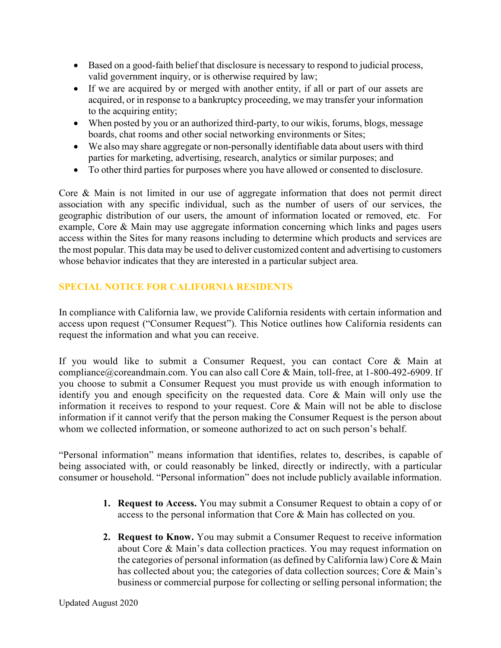- Based on a good-faith belief that disclosure is necessary to respond to judicial process, valid government inquiry, or is otherwise required by law;
- If we are acquired by or merged with another entity, if all or part of our assets are acquired, or in response to a bankruptcy proceeding, we may transfer your information to the acquiring entity;
- When posted by you or an authorized third-party, to our wikis, forums, blogs, message boards, chat rooms and other social networking environments or Sites;
- We also may share aggregate or non-personally identifiable data about users with third parties for marketing, advertising, research, analytics or similar purposes; and
- To other third parties for purposes where you have allowed or consented to disclosure.

Core & Main is not limited in our use of aggregate information that does not permit direct association with any specific individual, such as the number of users of our services, the geographic distribution of our users, the amount of information located or removed, etc. For example, Core & Main may use aggregate information concerning which links and pages users access within the Sites for many reasons including to determine which products and services are the most popular. This data may be used to deliver customized content and advertising to customers whose behavior indicates that they are interested in a particular subject area.

# **SPECIAL NOTICE FOR CALIFORNIA RESIDENTS**

In compliance with California law, we provide California residents with certain information and access upon request ("Consumer Request"). This Notice outlines how California residents can request the information and what you can receive.

If you would like to submit a Consumer Request, you can contact Core & Main at compliance@coreandmain.com. You can also call Core & Main, toll-free, at 1-800-492-6909. If you choose to submit a Consumer Request you must provide us with enough information to identify you and enough specificity on the requested data. Core & Main will only use the information it receives to respond to your request. Core & Main will not be able to disclose information if it cannot verify that the person making the Consumer Request is the person about whom we collected information, or someone authorized to act on such person's behalf.

"Personal information" means information that identifies, relates to, describes, is capable of being associated with, or could reasonably be linked, directly or indirectly, with a particular consumer or household. "Personal information" does not include publicly available information.

- **1. Request to Access.** You may submit a Consumer Request to obtain a copy of or access to the personal information that Core & Main has collected on you.
- **2. Request to Know.** You may submit a Consumer Request to receive information about Core & Main's data collection practices. You may request information on the categories of personal information (as defined by California law) Core & Main has collected about you; the categories of data collection sources; Core & Main's business or commercial purpose for collecting or selling personal information; the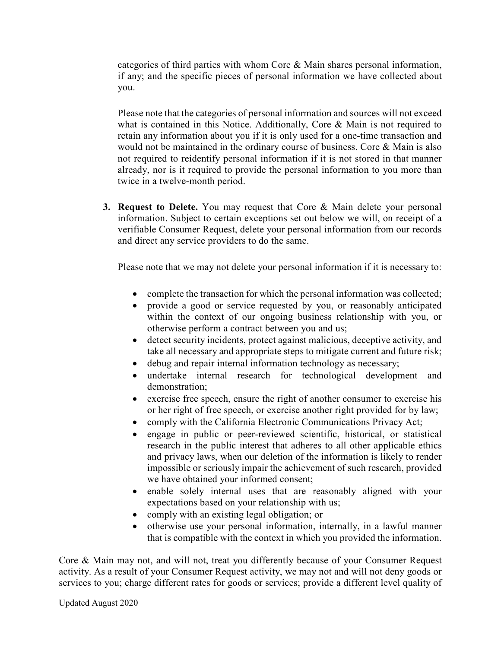categories of third parties with whom Core & Main shares personal information, if any; and the specific pieces of personal information we have collected about you.

Please note that the categories of personal information and sources will not exceed what is contained in this Notice. Additionally, Core & Main is not required to retain any information about you if it is only used for a one-time transaction and would not be maintained in the ordinary course of business. Core & Main is also not required to reidentify personal information if it is not stored in that manner already, nor is it required to provide the personal information to you more than twice in a twelve-month period.

**3. Request to Delete.** You may request that Core & Main delete your personal information. Subject to certain exceptions set out below we will, on receipt of a verifiable Consumer Request, delete your personal information from our records and direct any service providers to do the same.

Please note that we may not delete your personal information if it is necessary to:

- complete the transaction for which the personal information was collected;
- provide a good or service requested by you, or reasonably anticipated within the context of our ongoing business relationship with you, or otherwise perform a contract between you and us;
- detect security incidents, protect against malicious, deceptive activity, and take all necessary and appropriate steps to mitigate current and future risk;
- debug and repair internal information technology as necessary;
- undertake internal research for technological development and demonstration;
- exercise free speech, ensure the right of another consumer to exercise his or her right of free speech, or exercise another right provided for by law;
- comply with the California Electronic Communications Privacy Act;
- engage in public or peer-reviewed scientific, historical, or statistical research in the public interest that adheres to all other applicable ethics and privacy laws, when our deletion of the information is likely to render impossible or seriously impair the achievement of such research, provided we have obtained your informed consent;
- enable solely internal uses that are reasonably aligned with your expectations based on your relationship with us;
- comply with an existing legal obligation; or
- otherwise use your personal information, internally, in a lawful manner that is compatible with the context in which you provided the information.

Core & Main may not, and will not, treat you differently because of your Consumer Request activity. As a result of your Consumer Request activity, we may not and will not deny goods or services to you; charge different rates for goods or services; provide a different level quality of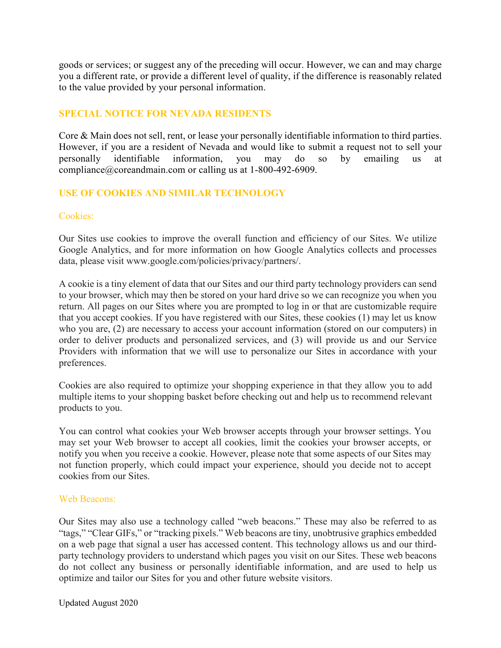goods or services; or suggest any of the preceding will occur. However, we can and may charge you a different rate, or provide a different level of quality, if the difference is reasonably related to the value provided by your personal information.

# **SPECIAL NOTICE FOR NEVADA RESIDENTS**

Core & Main does not sell, rent, or lease your personally identifiable information to third parties. However, if you are a resident of Nevada and would like to submit a request not to sell your personally identifiable information, you may do so by emailing us at compliance@coreandmain.com or calling us at 1-800-492-6909.

### **USE OF COOKIES AND SIMILAR TECHNOLOGY**

### Cookies:

Our Sites use cookies to improve the overall function and efficiency of our Sites. We utilize Google Analytics, and for more information on how Google Analytics collects and processes data, please visit www.google.com/policies/privacy/partners/.

A cookie is a tiny element of data that our Sites and our third party technology providers can send to your browser, which may then be stored on your hard drive so we can recognize you when you return. All pages on our Sites where you are prompted to log in or that are customizable require that you accept cookies. If you have registered with our Sites, these cookies (1) may let us know who you are, (2) are necessary to access your account information (stored on our computers) in order to deliver products and personalized services, and (3) will provide us and our Service Providers with information that we will use to personalize our Sites in accordance with your preferences.

Cookies are also required to optimize your shopping experience in that they allow you to add multiple items to your shopping basket before checking out and help us to recommend relevant products to you.

You can control what cookies your Web browser accepts through your browser settings. You may set your Web browser to accept all cookies, limit the cookies your browser accepts, or notify you when you receive a cookie. However, please note that some aspects of our Sites may not function properly, which could impact your experience, should you decide not to accept cookies from our Sites.

### Web Beacons:

Our Sites may also use a technology called "web beacons." These may also be referred to as "tags," "Clear GIFs," or "tracking pixels." Web beacons are tiny, unobtrusive graphics embedded on a web page that signal a user has accessed content. This technology allows us and our thirdparty technology providers to understand which pages you visit on our Sites. These web beacons do not collect any business or personally identifiable information, and are used to help us optimize and tailor our Sites for you and other future website visitors.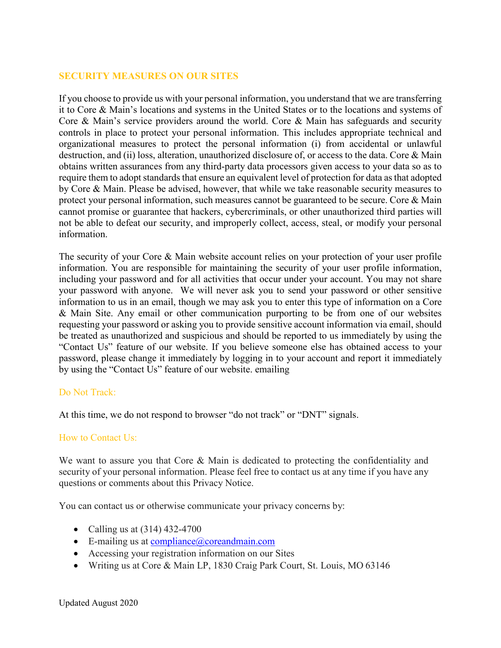# **SECURITY MEASURES ON OUR SITES**

If you choose to provide us with your personal information, you understand that we are transferring it to Core & Main's locations and systems in the United States or to the locations and systems of Core & Main's service providers around the world. Core & Main has safeguards and security controls in place to protect your personal information. This includes appropriate technical and organizational measures to protect the personal information (i) from accidental or unlawful destruction, and (ii) loss, alteration, unauthorized disclosure of, or access to the data. Core & Main obtains written assurances from any third-party data processors given access to your data so as to require them to adopt standards that ensure an equivalent level of protection for data as that adopted by Core & Main. Please be advised, however, that while we take reasonable security measures to protect your personal information, such measures cannot be guaranteed to be secure. Core & Main cannot promise or guarantee that hackers, cybercriminals, or other unauthorized third parties will not be able to defeat our security, and improperly collect, access, steal, or modify your personal information.

The security of your Core & Main website account relies on your protection of your user profile information. You are responsible for maintaining the security of your user profile information, including your password and for all activities that occur under your account. You may not share your password with anyone. We will never ask you to send your password or other sensitive information to us in an email, though we may ask you to enter this type of information on a Core & Main Site. Any email or other communication purporting to be from one of our websites requesting your password or asking you to provide sensitive account information via email, should be treated as unauthorized and suspicious and should be reported to us immediately by using the "Contact Us" feature of our website. If you believe someone else has obtained access to your password, please change it immediately by logging in to your account and report it immediately by using the "Contact Us" feature of our website. emailing

### Do Not Track:

At this time, we do not respond to browser "do not track" or "DNT" signals.

### How to Contact Us:

We want to assure you that Core & Main is dedicated to protecting the confidentiality and security of your personal information. Please feel free to contact us at any time if you have any questions or comments about this Privacy Notice.

You can contact us or otherwise communicate your privacy concerns by:

- Calling us at  $(314)$  432-4700
- $\bullet$  E-mailing us at compliance  $\omega$  coreandmain.com
- Accessing your registration information on our Sites
- Writing us at Core & Main LP, 1830 Craig Park Court, St. Louis, MO 63146